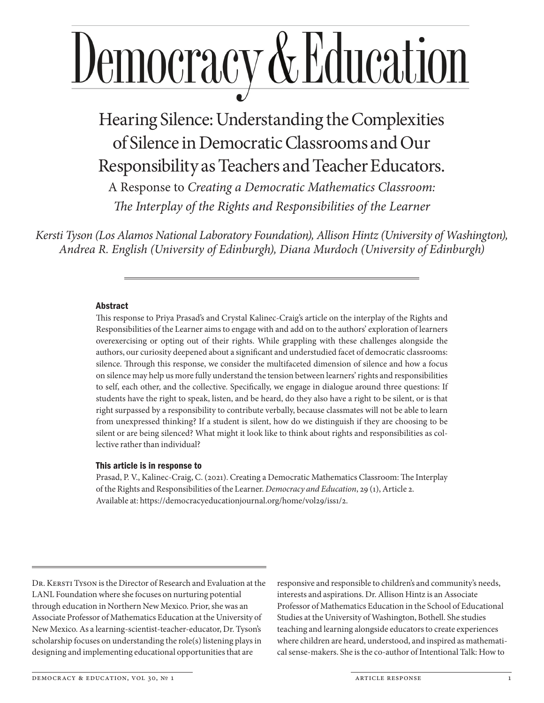# Democracy & Education

Hearing Silence: Understanding the Complexities of Silence in Democratic Classrooms and Our Responsibility as Teachers and Teacher Educators.

A Response to *Creating a Democratic Mathematics Classroom: The Interplay of the Rights and Responsibilities of the Learner*

*Kersti Tyson (Los Alamos National Laboratory Foundation), Allison Hintz (University of Washington), Andrea R. English (University of Edinburgh), Diana Murdoch (University of Edinburgh)*

## Abstract

This response to Priya Prasad's and Crystal Kalinec-Craig's article on the interplay of the Rights and Responsibilities of the Learner aims to engage with and add on to the authors' exploration of learners overexercising or opting out of their rights. While grappling with these challenges alongside the authors, our curiosity deepened about a significant and understudied facet of democratic classrooms: silence. Through this response, we consider the multifaceted dimension of silence and how a focus on silence may help us more fully understand the tension between learners' rights and responsibilities to self, each other, and the collective. Specifically, we engage in dialogue around three questions: If students have the right to speak, listen, and be heard, do they also have a right to be silent, or is that right surpassed by a responsibility to contribute verbally, because classmates will not be able to learn from unexpressed thinking? If a student is silent, how do we distinguish if they are choosing to be silent or are being silenced? What might it look like to think about rights and responsibilities as collective rather than individual?

#### This article is in response to

Prasad, P. V., Kalinec-Craig, C. (2021). Creating a Democratic Mathematics Classroom: The Interplay of the Rights and Responsibilities of the Learner. *Democracy and Education*, 29 (1), Article 2. Available at: https://democracyeducationjournal.org/home/vol29/iss1/2.

DR. KERSTI TYSON is the Director of Research and Evaluation at the LANL Foundation where she focuses on nurturing potential through education in Northern New Mexico. Prior, she was an Associate Professor of Mathematics Education at the University of New Mexico. As a learning-scientist-teacher-educator, Dr. Tyson's scholarship focuses on understanding the role(s) listening plays in designing and implementing educational opportunities that are

responsive and responsible to children's and community's needs, interests and aspirations. Dr. Allison Hintz is an Associate Professor of Mathematics Education in the School of Educational Studies at the University of Washington, Bothell. She studies teaching and learning alongside educators to create experiences where children are heard, understood, and inspired as mathematical sense-makers. She is the co-author of Intentional Talk: How to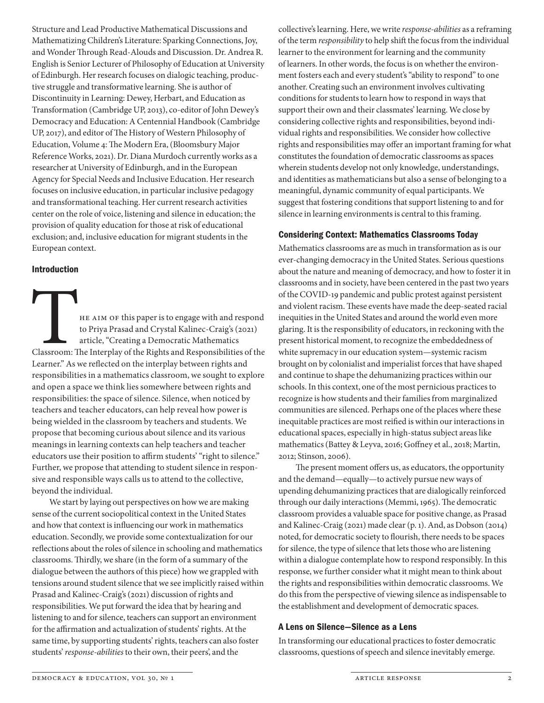Structure and Lead Productive Mathematical Discussions and Mathematizing Children's Literature: Sparking Connections, Joy, and Wonder Through Read-Alouds and Discussion. Dr. Andrea R. English is Senior Lecturer of Philosophy of Education at University of Edinburgh. Her research focuses on dialogic teaching, productive struggle and transformative learning. She is author of Discontinuity in Learning: Dewey, Herbart, and Education as Transformation (Cambridge UP, 2013), co-editor of John Dewey's Democracy and Education: A Centennial Handbook (Cambridge UP, 2017), and editor of The History of Western Philosophy of Education, Volume 4: The Modern Era, (Bloomsbury Major Reference Works, 2021). Dr. Diana Murdoch currently works as a researcher at University of Edinburgh, and in the European Agency for Special Needs and Inclusive Education. Her research focuses on inclusive education, in particular inclusive pedagogy and transformational teaching. Her current research activities center on the role of voice, listening and silence in education; the provision of quality education for those at risk of educational exclusion; and, inclusive education for migrant students in the European context.

#### Introduction

HE AIM OF this paper is to engage with and respond<br>to Priya Prasad and Crystal Kalinec-Craig's (2021)<br>article, "Creating a Democratic Mathematics<br>Classroom: The Interplay of the Rights and Responsibilities of the<br>Learner" to Priya Prasad and Crystal Kalinec-Craig's (2021) article, "Creating a Democratic Mathematics Classroom: The Interplay of the Rights and Responsibilities of the Learner." As we reflected on the interplay between rights and responsibilities in a mathematics classroom, we sought to explore and open a space we think lies somewhere between rights and responsibilities: the space of silence. Silence, when noticed by teachers and teacher educators, can help reveal how power is being wielded in the classroom by teachers and students. We propose that becoming curious about silence and its various meanings in learning contexts can help teachers and teacher educators use their position to affirm students' "right to silence." Further, we propose that attending to student silence in responsive and responsible ways calls us to attend to the collective, beyond the individual.

We start by laying out perspectives on how we are making sense of the current sociopolitical context in the United States and how that context is influencing our work in mathematics education. Secondly, we provide some contextualization for our reflections about the roles of silence in schooling and mathematics classrooms. Thirdly, we share (in the form of a summary of the dialogue between the authors of this piece) how we grappled with tensions around student silence that we see implicitly raised within Prasad and Kalinec-Craig's (2021) discussion of rights and responsibilities. We put forward the idea that by hearing and listening to and for silence, teachers can support an environment for the affirmation and actualization of students' rights. At the same time, by supporting students' rights, teachers can also foster students' *response-abilities* to their own, their peers', and the

collective's learning. Here, we write *response-abilities* as a reframing of the term *responsibility* to help shift the focus from the individual learner to the environment for learning and the community of learners. In other words, the focus is on whether the environment fosters each and every student's "ability to respond" to one another. Creating such an environment involves cultivating conditions for students to learn how to respond in ways that support their own and their classmates' learning. We close by considering collective rights and responsibilities, beyond individual rights and responsibilities. We consider how collective rights and responsibilities may offer an important framing for what constitutes the foundation of democratic classrooms as spaces wherein students develop not only knowledge, understandings, and identities as mathematicians but also a sense of belonging to a meaningful, dynamic community of equal participants. We suggest that fostering conditions that support listening to and for silence in learning environments is central to this framing.

# Considering Context: Mathematics Classrooms Today

Mathematics classrooms are as much in transformation as is our ever-changing democracy in the United States. Serious questions about the nature and meaning of democracy, and how to foster it in classrooms and in society, have been centered in the past two years of the COVID-19 pandemic and public protest against persistent and violent racism. These events have made the deep-seated racial inequities in the United States and around the world even more glaring. It is the responsibility of educators, in reckoning with the present historical moment, to recognize the embeddedness of white supremacy in our education system—systemic racism brought on by colonialist and imperialist forces that have shaped and continue to shape the dehumanizing practices within our schools. In this context, one of the most pernicious practices to recognize is how students and their families from marginalized communities are silenced. Perhaps one of the places where these inequitable practices are most reified is within our interactions in educational spaces, especially in high-status subject areas like mathematics (Battey & Leyva, 2016; Goffney et al., 2018; Martin, 2012; Stinson, 2006).

The present moment offers us, as educators, the opportunity and the demand—equally—to actively pursue new ways of upending dehumanizing practices that are dialogically reinforced through our daily interactions (Memmi, 1965). The democratic classroom provides a valuable space for positive change, as Prasad and Kalinec-Craig (2021) made clear (p. 1). And, as Dobson (2014) noted, for democratic society to flourish, there needs to be spaces for silence, the type of silence that lets those who are listening within a dialogue contemplate how to respond responsibly. In this response, we further consider what it might mean to think about the rights and responsibilities within democratic classrooms. We do this from the perspective of viewing silence as indispensable to the establishment and development of democratic spaces.

# A Lens on Silence—Silence as a Lens

In transforming our educational practices to foster democratic classrooms, questions of speech and silence inevitably emerge.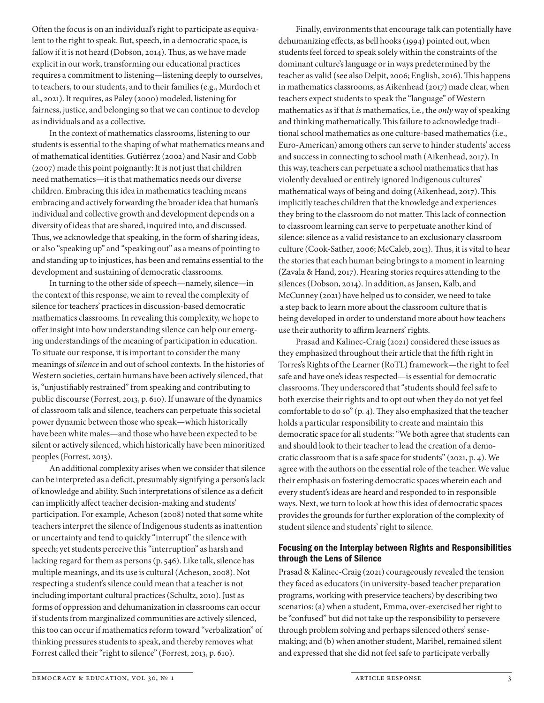Often the focus is on an individual's right to participate as equivalent to the right to speak. But, speech, in a democratic space, is fallow if it is not heard (Dobson, 2014). Thus, as we have made explicit in our work, transforming our educational practices requires a commitment to listening—listening deeply to ourselves, to teachers, to our students, and to their families (e.g., Murdoch et al., 2021). It requires, as Paley (2000) modeled, listening for fairness, justice, and belonging so that we can continue to develop as individuals and as a collective.

In the context of mathematics classrooms, listening to our students is essential to the shaping of what mathematics means and of mathematical identities. Gutiérrez (2002) and Nasir and Cobb (2007) made this point poignantly: It is not just that children need mathematics—it is that mathematics needs our diverse children. Embracing this idea in mathematics teaching means embracing and actively forwarding the broader idea that human's individual and collective growth and development depends on a diversity of ideas that are shared, inquired into, and discussed. Thus, we acknowledge that speaking, in the form of sharing ideas, or also "speaking up" and "speaking out" as a means of pointing to and standing up to injustices, has been and remains essential to the development and sustaining of democratic classrooms.

In turning to the other side of speech—namely, silence—in the context of this response, we aim to reveal the complexity of silence for teachers' practices in discussion-based democratic mathematics classrooms. In revealing this complexity, we hope to offer insight into how understanding silence can help our emerging understandings of the meaning of participation in education. To situate our response, it is important to consider the many meanings of *silence* in and out of school contexts. In the histories of Western societies, certain humans have been actively silenced, that is, "unjustifiably restrained" from speaking and contributing to public discourse (Forrest, 2013, p. 610). If unaware of the dynamics of classroom talk and silence, teachers can perpetuate this societal power dynamic between those who speak—which historically have been white males—and those who have been expected to be silent or actively silenced, which historically have been minoritized peoples (Forrest, 2013).

An additional complexity arises when we consider that silence can be interpreted as a deficit, presumably signifying a person's lack of knowledge and ability. Such interpretations of silence as a deficit can implicitly affect teacher decision-making and students' participation. For example, Acheson (2008) noted that some white teachers interpret the silence of Indigenous students as inattention or uncertainty and tend to quickly "interrupt" the silence with speech; yet students perceive this "interruption" as harsh and lacking regard for them as persons (p. 546). Like talk, silence has multiple meanings, and its use is cultural (Acheson, 2008). Not respecting a student's silence could mean that a teacher is not including important cultural practices (Schultz, 2010). Just as forms of oppression and dehumanization in classrooms can occur if students from marginalized communities are actively silenced, this too can occur if mathematics reform toward "verbalization" of thinking pressures students to speak, and thereby removes what Forrest called their "right to silence" (Forrest, 2013, p. 610).

Finally, environments that encourage talk can potentially have dehumanizing effects, as bell hooks (1994) pointed out, when students feel forced to speak solely within the constraints of the dominant culture's language or in ways predetermined by the teacher as valid (see also Delpit, 2006; English, 2016). This happens in mathematics classrooms, as Aikenhead (2017) made clear, when teachers expect students to speak the "language" of Western mathematics as if that *is* mathematics, i.e., the *only* way of speaking and thinking mathematically. This failure to acknowledge traditional school mathematics as one culture-based mathematics (i.e., Euro-American) among others can serve to hinder students' access and success in connecting to school math (Aikenhead, 2017). In this way, teachers can perpetuate a school mathematics that has violently devalued or entirely ignored Indigenous cultures' mathematical ways of being and doing (Aikenhead, 2017). This implicitly teaches children that the knowledge and experiences they bring to the classroom do not matter. This lack of connection to classroom learning can serve to perpetuate another kind of silence: silence as a valid resistance to an exclusionary classroom culture (Cook-Sather, 2006; McCaleb, 2013). Thus, it is vital to hear the stories that each human being brings to a moment in learning (Zavala & Hand, 2017). Hearing stories requires attending to the silences (Dobson, 2014). In addition, as Jansen, Kalb, and McCunney (2021) have helped us to consider, we need to take a step back to learn more about the classroom culture that is being developed in order to understand more about how teachers use their authority to affirm learners' rights.

Prasad and Kalinec-Craig (2021) considered these issues as they emphasized throughout their article that the fifth right in Torres's Rights of the Learner (RoTL) framework—the right to feel safe and have one's ideas respected—is essential for democratic classrooms. They underscored that "students should feel safe to both exercise their rights and to opt out when they do not yet feel comfortable to do so" (p. 4). They also emphasized that the teacher holds a particular responsibility to create and maintain this democratic space for all students: "We both agree that students can and should look to their teacher to lead the creation of a democratic classroom that is a safe space for students" (2021, p. 4). We agree with the authors on the essential role of the teacher. We value their emphasis on fostering democratic spaces wherein each and every student's ideas are heard and responded to in responsible ways. Next, we turn to look at how this idea of democratic spaces provides the grounds for further exploration of the complexity of student silence and students' right to silence.

## Focusing on the Interplay between Rights and Responsibilities through the Lens of Silence

Prasad & Kalinec-Craig (2021) courageously revealed the tension they faced as educators (in university-based teacher preparation programs, working with preservice teachers) by describing two scenarios: (a) when a student, Emma, over-exercised her right to be "confused" but did not take up the responsibility to persevere through problem solving and perhaps silenced others' sensemaking; and (b) when another student, Maribel, remained silent and expressed that she did not feel safe to participate verbally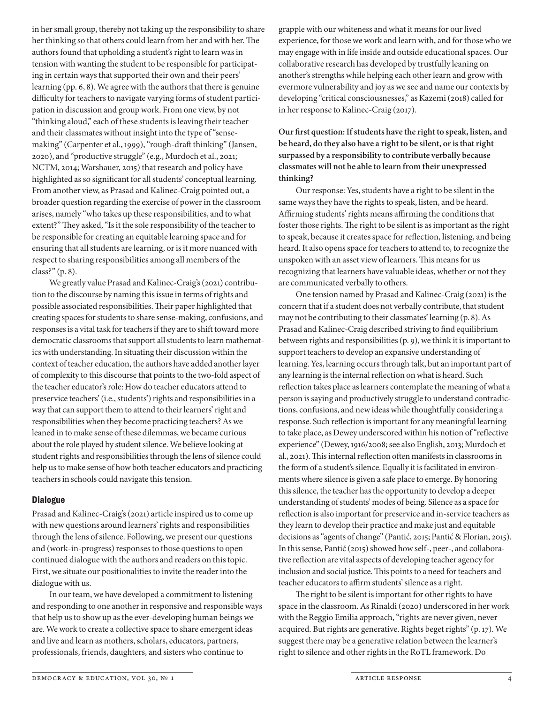in her small group, thereby not taking up the responsibility to share her thinking so that others could learn from her and with her. The authors found that upholding a student's right to learn was in tension with wanting the student to be responsible for participating in certain ways that supported their own and their peers' learning (pp. 6, 8). We agree with the authors that there is genuine difficulty for teachers to navigate varying forms of student participation in discussion and group work. From one view, by not "thinking aloud," each of these students is leaving their teacher and their classmates without insight into the type of "sensemaking" (Carpenter et al., 1999), "rough-draft thinking" (Jansen, 2020), and "productive struggle" (e.g., Murdoch et al., 2021; NCTM, 2014; Warshauer, 2015) that research and policy have highlighted as so significant for all students' conceptual learning. From another view, as Prasad and Kalinec-Craig pointed out, a broader question regarding the exercise of power in the classroom arises, namely "who takes up these responsibilities, and to what extent?" They asked, "Is it the sole responsibility of the teacher to be responsible for creating an equitable learning space and for ensuring that all students are learning, or is it more nuanced with respect to sharing responsibilities among all members of the class?" (p. 8).

We greatly value Prasad and Kalinec-Craig's (2021) contribution to the discourse by naming this issue in terms of rights and possible associated responsibilities. Their paper highlighted that creating spaces for students to share sense-making, confusions, and responses is a vital task for teachers if they are to shift toward more democratic classrooms that support all students to learn mathematics with understanding. In situating their discussion within the context of teacher education, the authors have added another layer of complexity to this discourse that points to the two-fold aspect of the teacher educator's role: How do teacher educators attend to preservice teachers' (i.e., students') rights and responsibilities in a way that can support them to attend to their learners' right and responsibilities when they become practicing teachers? As we leaned in to make sense of these dilemmas, we became curious about the role played by student silence. We believe looking at student rights and responsibilities through the lens of silence could help us to make sense of how both teacher educators and practicing teachers in schools could navigate this tension.

#### Dialogue

Prasad and Kalinec-Craig's (2021) article inspired us to come up with new questions around learners' rights and responsibilities through the lens of silence. Following, we present our questions and (work-in-progress) responses to those questions to open continued dialogue with the authors and readers on this topic. First, we situate our positionalities to invite the reader into the dialogue with us.

In our team, we have developed a commitment to listening and responding to one another in responsive and responsible ways that help us to show up as the ever-developing human beings we are. We work to create a collective space to share emergent ideas and live and learn as mothers, scholars, educators, partners, professionals, friends, daughters, and sisters who continue to

grapple with our whiteness and what it means for our lived experience, for those we work and learn with, and for those who we may engage with in life inside and outside educational spaces. Our collaborative research has developed by trustfully leaning on another's strengths while helping each other learn and grow with evermore vulnerability and joy as we see and name our contexts by developing "critical consciousnesses," as Kazemi (2018) called for in her response to Kalinec-Craig (2017).

**Our first question: If students have the right to speak, listen, and be heard, do they also have a right to be silent, or is that right surpassed by a responsibility to contribute verbally because classmates will not be able to learn from their unexpressed thinking?**

Our response: Yes, students have a right to be silent in the same ways they have the rights to speak, listen, and be heard. Affirming students' rights means affirming the conditions that foster those rights. The right to be silent is as important as the right to speak, because it creates space for reflection, listening, and being heard. It also opens space for teachers to attend to, to recognize the unspoken with an asset view of learners. This means for us recognizing that learners have valuable ideas, whether or not they are communicated verbally to others.

One tension named by Prasad and Kalinec-Craig (2021) is the concern that if a student does not verbally contribute, that student may not be contributing to their classmates' learning (p. 8). As Prasad and Kalinec-Craig described striving to find equilibrium between rights and responsibilities (p. 9), we think it is important to support teachers to develop an expansive understanding of learning. Yes, learning occurs through talk, but an important part of any learning is the internal reflection on what is heard. Such reflection takes place as learners contemplate the meaning of what a person is saying and productively struggle to understand contradictions, confusions, and new ideas while thoughtfully considering a response. Such reflection is important for any meaningful learning to take place, as Dewey underscored within his notion of "reflective experience" (Dewey, 1916/2008; see also English, 2013; Murdoch et al., 2021). This internal reflection often manifests in classrooms in the form of a student's silence. Equally it is facilitated in environments where silence is given a safe place to emerge. By honoring this silence, the teacher has the opportunity to develop a deeper understanding of students' modes of being. Silence as a space for reflection is also important for preservice and in-service teachers as they learn to develop their practice and make just and equitable decisions as "agents of change" (Pantić, 2015; Pantić & Florian, 2015). In this sense, Pantić (2015) showed how self-, peer-, and collaborative reflection are vital aspects of developing teacher agency for inclusion and social justice. This points to a need for teachers and teacher educators to affirm students' silence as a right.

The right to be silent is important for other rights to have space in the classroom. As Rinaldi (2020) underscored in her work with the Reggio Emilia approach, "rights are never given, never acquired. But rights are generative. Rights beget rights" (p. 17). We suggest there may be a generative relation between the learner's right to silence and other rights in the RoTL framework. Do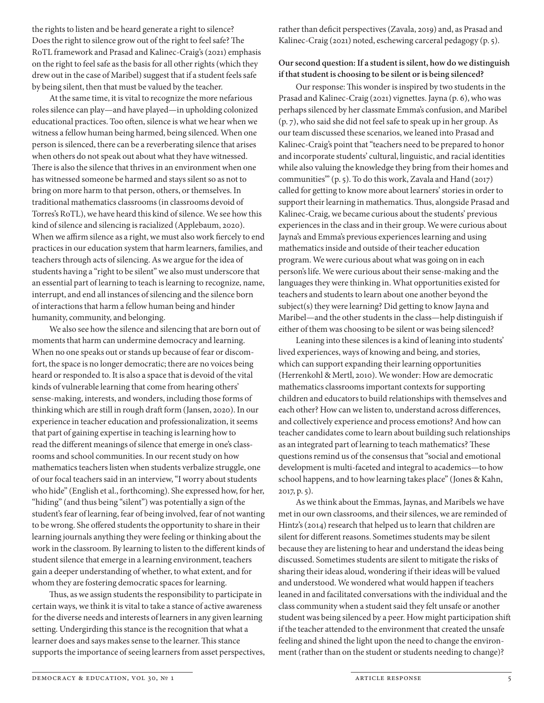the rights to listen and be heard generate a right to silence? Does the right to silence grow out of the right to feel safe? The RoTL framework and Prasad and Kalinec-Craig's (2021) emphasis on the right to feel safe as the basis for all other rights (which they drew out in the case of Maribel) suggest that if a student feels safe by being silent, then that must be valued by the teacher.

At the same time, it is vital to recognize the more nefarious roles silence can play—and have played—in upholding colonized educational practices. Too often, silence is what we hear when we witness a fellow human being harmed, being silenced. When one person is silenced, there can be a reverberating silence that arises when others do not speak out about what they have witnessed. There is also the silence that thrives in an environment when one has witnessed someone be harmed and stays silent so as not to bring on more harm to that person, others, or themselves. In traditional mathematics classrooms (in classrooms devoid of Torres's RoTL), we have heard this kind of silence. We see how this kind of silence and silencing is racialized (Applebaum, 2020). When we affirm silence as a right, we must also work fiercely to end practices in our education system that harm learners, families, and teachers through acts of silencing. As we argue for the idea of students having a "right to be silent" we also must underscore that an essential part of learning to teach is learning to recognize, name, interrupt, and end all instances of silencing and the silence born of interactions that harm a fellow human being and hinder humanity, community, and belonging.

We also see how the silence and silencing that are born out of moments that harm can undermine democracy and learning. When no one speaks out or stands up because of fear or discomfort, the space is no longer democratic; there are no voices being heard or responded to. It is also a space that is devoid of the vital kinds of vulnerable learning that come from hearing others' sense-making, interests, and wonders, including those forms of thinking which are still in rough draft form (Jansen, 2020). In our experience in teacher education and professionalization, it seems that part of gaining expertise in teaching is learning how to read the different meanings of silence that emerge in one's classrooms and school communities. In our recent study on how mathematics teachers listen when students verbalize struggle, one of our focal teachers said in an interview, "I worry about students who hide" (English et al., forthcoming). She expressed how, for her, "hiding" (and thus being "silent") was potentially a sign of the student's fear of learning, fear of being involved, fear of not wanting to be wrong. She offered students the opportunity to share in their learning journals anything they were feeling or thinking about the work in the classroom. By learning to listen to the different kinds of student silence that emerge in a learning environment, teachers gain a deeper understanding of whether, to what extent, and for whom they are fostering democratic spaces for learning.

Thus, as we assign students the responsibility to participate in certain ways, we think it is vital to take a stance of active awareness for the diverse needs and interests of learners in any given learning setting. Undergirding this stance is the recognition that what a learner does and says makes sense to the learner. This stance supports the importance of seeing learners from asset perspectives, rather than deficit perspectives (Zavala, 2019) and, as Prasad and Kalinec-Craig (2021) noted, eschewing carceral pedagogy (p. 5).

# **Our second question: If a student is silent, how do we distinguish if that student is choosing to be silent or is being silenced?**

Our response: This wonder is inspired by two students in the Prasad and Kalinec-Craig (2021) vignettes. Jayna (p. 6), who was perhaps silenced by her classmate Emma's confusion, and Maribel (p. 7), who said she did not feel safe to speak up in her group. As our team discussed these scenarios, we leaned into Prasad and Kalinec-Craig's point that "teachers need to be prepared to honor and incorporate students' cultural, linguistic, and racial identities while also valuing the knowledge they bring from their homes and communities'" (p. 5). To do this work, Zavala and Hand (2017) called for getting to know more about learners' stories in order to support their learning in mathematics. Thus, alongside Prasad and Kalinec-Craig, we became curious about the students' previous experiences in the class and in their group. We were curious about Jayna's and Emma's previous experiences learning and using mathematics inside and outside of their teacher education program. We were curious about what was going on in each person's life. We were curious about their sense-making and the languages they were thinking in. What opportunities existed for teachers and students to learn about one another beyond the subject(s) they were learning? Did getting to know Jayna and Maribel—and the other students in the class—help distinguish if either of them was choosing to be silent or was being silenced?

Leaning into these silences is a kind of leaning into students' lived experiences, ways of knowing and being, and stories, which can support expanding their learning opportunities (Herrenkohl & Mertl, 2010). We wonder: How are democratic mathematics classrooms important contexts for supporting children and educators to build relationships with themselves and each other? How can we listen to, understand across differences, and collectively experience and process emotions? And how can teacher candidates come to learn about building such relationships as an integrated part of learning to teach mathematics? These questions remind us of the consensus that "social and emotional development is multi-faceted and integral to academics—to how school happens, and to how learning takes place" (Jones & Kahn, 2017, p. 5).

As we think about the Emmas, Jaynas, and Maribels we have met in our own classrooms, and their silences, we are reminded of Hintz's (2014) research that helped us to learn that children are silent for different reasons. Sometimes students may be silent because they are listening to hear and understand the ideas being discussed. Sometimes students are silent to mitigate the risks of sharing their ideas aloud, wondering if their ideas will be valued and understood. We wondered what would happen if teachers leaned in and facilitated conversations with the individual and the class community when a student said they felt unsafe or another student was being silenced by a peer. How might participation shift if the teacher attended to the environment that created the unsafe feeling and shined the light upon the need to change the environment (rather than on the student or students needing to change)?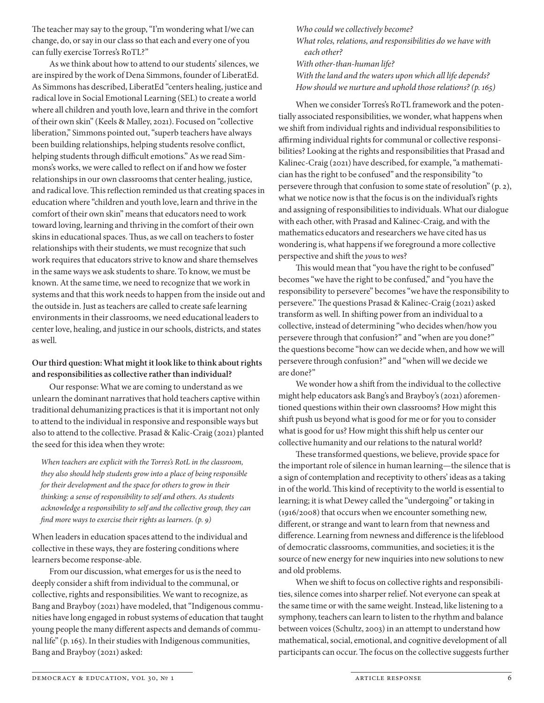The teacher may say to the group, "I'm wondering what I/we can change, do, or say in our class so that each and every one of you can fully exercise Torres's RoTL?"

As we think about how to attend to our students' silences, we are inspired by the work of Dena Simmons, founder of LiberatEd. As Simmons has described, LiberatEd "centers healing, justice and radical love in Social Emotional Learning (SEL) to create a world where all children and youth love, learn and thrive in the comfort of their own skin" (Keels & Malley, 2021). Focused on "collective liberation," Simmons pointed out, "superb teachers have always been building relationships, helping students resolve conflict, helping students through difficult emotions." As we read Simmons's works, we were called to reflect on if and how we foster relationships in our own classrooms that center healing, justice, and radical love. This reflection reminded us that creating spaces in education where "children and youth love, learn and thrive in the comfort of their own skin" means that educators need to work toward loving, learning and thriving in the comfort of their own skins in educational spaces. Thus, as we call on teachers to foster relationships with their students, we must recognize that such work requires that educators strive to know and share themselves in the same ways we ask students to share. To know, we must be known. At the same time, we need to recognize that we work in systems and that this work needs to happen from the inside out and the outside in. Just as teachers are called to create safe learning environments in their classrooms, we need educational leaders to center love, healing, and justice in our schools, districts, and states as well.

# **Our third question: What might it look like to think about rights and responsibilities as collective rather than individual?**

Our response: What we are coming to understand as we unlearn the dominant narratives that hold teachers captive within traditional dehumanizing practices is that it is important not only to attend to the individual in responsive and responsible ways but also to attend to the collective. Prasad & Kalic-Craig (2021) planted the seed for this idea when they wrote:

*When teachers are explicit with the Torres's RotL in the classroom, they also should help students grow into a place of being responsible for their development and the space for others to grow in their thinking: a sense of responsibility to self and others. As students acknowledge a responsibility to self and the collective group, they can find more ways to exercise their rights as learners. (p. 9)*

When leaders in education spaces attend to the individual and collective in these ways, they are fostering conditions where learners become response-able.

From our discussion, what emerges for us is the need to deeply consider a shift from individual to the communal, or collective, rights and responsibilities. We want to recognize, as Bang and Brayboy (2021) have modeled, that "Indigenous communities have long engaged in robust systems of education that taught young people the many different aspects and demands of communal life" (p. 165). In their studies with Indigenous communities, Bang and Brayboy (2021) asked:

*Who could we collectively become? What roles, relations, and responsibilities do we have with each other? With other-than-human life? With the land and the waters upon which all life depends? How should we nurture and uphold those relations? (p. 165)*

When we consider Torres's RoTL framework and the potentially associated responsibilities, we wonder, what happens when we shift from individual rights and individual responsibilities to affirming individual rights for communal or collective responsibilities? Looking at the rights and responsibilities that Prasad and Kalinec-Craig (2021) have described, for example, "a mathematician has the right to be confused" and the responsibility "to persevere through that confusion to some state of resolution" (p. 2), what we notice now is that the focus is on the individual's rights and assigning of responsibilities to individuals. What our dialogue with each other, with Prasad and Kalinec-Craig, and with the mathematics educators and researchers we have cited has us wondering is, what happens if we foreground a more collective perspective and shift the *you*s to *we*s?

This would mean that "you have the right to be confused" becomes "we have the right to be confused," and "you have the responsibility to persevere" becomes "we have the responsibility to persevere." The questions Prasad & Kalinec-Craig (2021) asked transform as well. In shifting power from an individual to a collective, instead of determining "who decides when/how you persevere through that confusion?" and "when are you done?" the questions become "how can we decide when, and how we will persevere through confusion?" and "when will we decide we are done?"

We wonder how a shift from the individual to the collective might help educators ask Bang's and Brayboy's (2021) aforementioned questions within their own classrooms? How might this shift push us beyond what is good for me or for you to consider what is good for us? How might this shift help us center our collective humanity and our relations to the natural world?

These transformed questions, we believe, provide space for the important role of silence in human learning—the silence that is a sign of contemplation and receptivity to others' ideas as a taking in of the world. This kind of receptivity to the world is essential to learning; it is what Dewey called the "undergoing" or taking in (1916/2008) that occurs when we encounter something new, different, or strange and want to learn from that newness and difference. Learning from newness and difference is the lifeblood of democratic classrooms, communities, and societies; it is the source of new energy for new inquiries into new solutions to new and old problems.

When we shift to focus on collective rights and responsibilities, silence comes into sharper relief. Not everyone can speak at the same time or with the same weight. Instead, like listening to a symphony, teachers can learn to listen to the rhythm and balance between voices (Schultz, 2003) in an attempt to understand how mathematical, social, emotional, and cognitive development of all participants can occur. The focus on the collective suggests further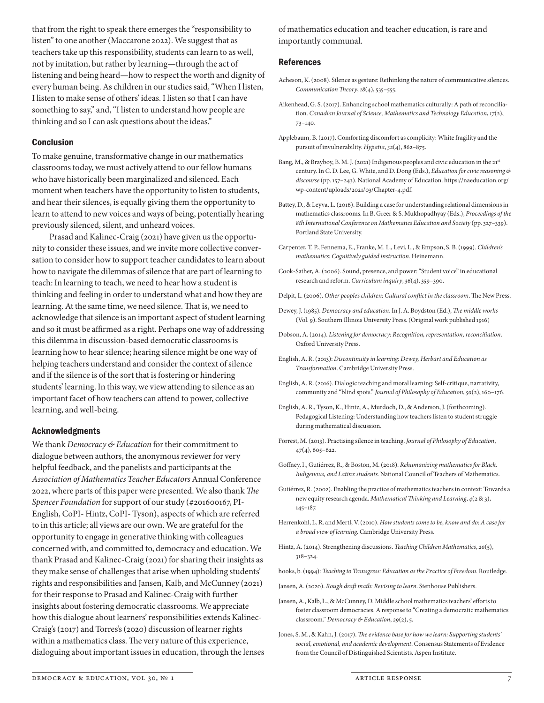that from the right to speak there emerges the "responsibility to listen" to one another (Maccarone 2022). We suggest that as teachers take up this responsibility, students can learn to as well, not by imitation, but rather by learning—through the act of listening and being heard—how to respect the worth and dignity of every human being. As children in our studies said, "When I listen, I listen to make sense of others' ideas. I listen so that I can have something to say," and, "I listen to understand how people are thinking and so I can ask questions about the ideas."

#### Conclusion

To make genuine, transformative change in our mathematics classrooms today, we must actively attend to our fellow humans who have historically been marginalized and silenced. Each moment when teachers have the opportunity to listen to students, and hear their silences, is equally giving them the opportunity to learn to attend to new voices and ways of being, potentially hearing previously silenced, silent, and unheard voices.

Prasad and Kalinec-Craig (2021) have given us the opportunity to consider these issues, and we invite more collective conversation to consider how to support teacher candidates to learn about how to navigate the dilemmas of silence that are part of learning to teach: In learning to teach, we need to hear how a student is thinking and feeling in order to understand what and how they are learning. At the same time, we need silence. That is, we need to acknowledge that silence is an important aspect of student learning and so it must be affirmed as a right. Perhaps one way of addressing this dilemma in discussion-based democratic classrooms is learning how to hear silence; hearing silence might be one way of helping teachers understand and consider the context of silence and if the silence is of the sort that is fostering or hindering students' learning. In this way, we view attending to silence as an important facet of how teachers can attend to power, collective learning, and well-being.

#### Acknowledgments

We thank *Democracy & Education* for their commitment to dialogue between authors, the anonymous reviewer for very helpful feedback, and the panelists and participants at the *Association of Mathematics Teacher Educators* Annual Conference 2022, where parts of this paper were presented. We also thank *The Spencer Foundation* for support of our study (#201600167, PI-English, CoPI- Hintz, CoPI- Tyson), aspects of which are referred to in this article; all views are our own. We are grateful for the opportunity to engage in generative thinking with colleagues concerned with, and committed to, democracy and education. We thank Prasad and Kalinec-Craig (2021) for sharing their insights as they make sense of challenges that arise when upholding students' rights and responsibilities and Jansen, Kalb, and McCunney (2021) for their response to Prasad and Kalinec-Craig with further insights about fostering democratic classrooms. We appreciate how this dialogue about learners' responsibilities extends Kalinec-Craig's (2017) and Torres's (2020) discussion of learner rights within a mathematics class. The very nature of this experience, dialoguing about important issues in education, through the lenses of mathematics education and teacher education, is rare and importantly communal.

#### References

- Acheson, K. (2008). Silence as gesture: Rethinking the nature of communicative silences. *Communication Theory*, *18*(4), 535–555.
- Aikenhead, G. S. (2017). Enhancing school mathematics culturally: A path of reconciliation. *Canadian Journal of Science, Mathematics and Technology Education*, *17*(2), 73–140.
- Applebaum, B. (2017). Comforting discomfort as complicity: White fragility and the pursuit of invulnerability. *Hypatia*, *32*(4), 862–875.
- Bang, M., & Brayboy, B. M. J. (2021) Indigenous peoples and civic education in the 21st century. In C. D. Lee, G. White, and D. Dong (Eds.), *Education for civic reasoning & discourse* (pp. 157–243). National Academy of Education. https://naeducation.org/ wp-content/uploads/2021/03/Chapter-4.pdf.
- Battey, D., & Leyva, L. (2016). Building a case for understanding relational dimensions in mathematics classrooms. In B. Greer & S. Mukhopadhyay (Eds.), *Proceedings of the 8th International Conference on Mathematics Education and Society* (pp. 327–339). Portland State University.
- Carpenter, T. P., Fennema, E., Franke, M. L., Levi, L., & Empson, S. B. (1999). *Children's mathematics: Cognitively guided instruction*. Heinemann.
- Cook-Sather, A. (2006). Sound, presence, and power: "Student voice" in educational research and reform. *Curriculum inquiry*, *36*(4), 359–390.
- Delpit, L. (2006). *Other people's children: Cultural conflict in the classroom*. The New Press.
- Dewey, J. (1985). *Democracy and education*. In J. A. Boydston (Ed.), *The middle works* (Vol. 9). Southern Illinois University Press. (Original work published 1916)
- Dobson, A. (2014). *Listening for democracy: Recognition, representation, reconciliation*. Oxford University Press.
- English, A. R. (2013): *Discontinuity in learning: Dewey, Herbart and Education as Transformation*. Cambridge University Press.
- English, A. R. (2016). Dialogic teaching and moral learning: Self-critique, narrativity, community and "blind spots." *Journal of Philosophy of Education*, *50*(2), 160–176.
- English, A. R., Tyson, K., Hintz, A., Murdoch, D., & Anderson, J. (forthcoming). Pedagogical Listening: Understanding how teachers listen to student struggle during mathematical discussion.
- Forrest, M. (2013). Practising silence in teaching. *Journal of Philosophy of Education*, 47(4), 605–622.
- Goffney, I., Gutiérrez, R., & Boston, M. (2018). *Rehumanizing mathematics for Black, Indigenous, and Latinx students*. National Council of Teachers of Mathematics.
- Gutiérrez, R. (2002). Enabling the practice of mathematics teachers in context: Towards a new equity research agenda. *Mathematical Thinking and Learning*, *4*(2 & 3), 145–187.
- Herrenkohl, L. R. and Mertl, V. (2010). *How students come to be, know and do: A case for a broad view of learning*. Cambridge University Press.
- Hintz, A. (2014). Strengthening discussions. *Teaching Children Mathematics*, *20*(5), 318–324.
- hooks, b. (1994): *Teaching to Transgress: Education as the Practice of Freedom*. Routledge.
- Jansen, A. (2020). *Rough draft math: Revising to learn*. Stenhouse Publishers.
- Jansen, A., Kalb, L., & McCunney, D. Middle school mathematics teachers' efforts to foster classroom democracies. A response to "Creating a democratic mathematics classroom." *Democracy & Education*, *29*(2), 5.
- Jones, S. M., & Kahn, J. (2017). *The evidence base for how we learn: Supporting students' social, emotional, and academic development*. Consensus Statements of Evidence from the Council of Distinguished Scientists. Aspen Institute.